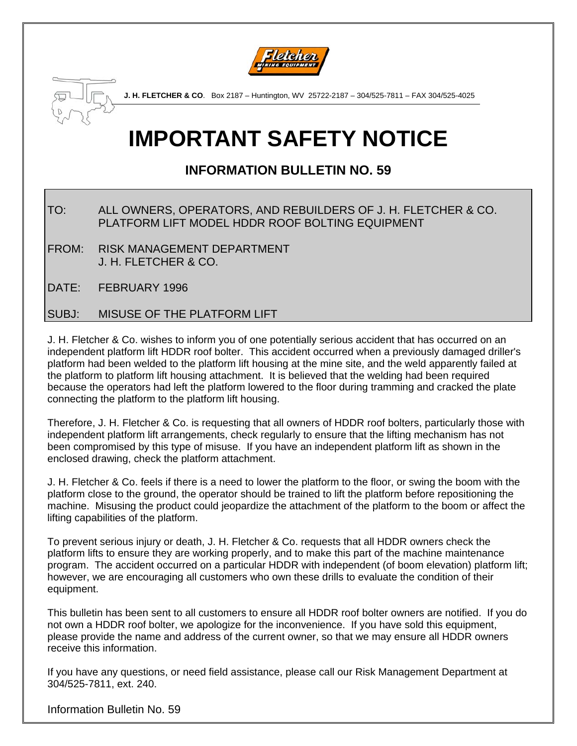



**J. H. FLETCHER & CO**. Box 2187 – Huntington, WV 25722-2187 – 304/525-7811 – FAX 304/525-4025

## **IMPORTANT SAFETY NOTICE**

## **INFORMATION BULLETIN NO. 59**

- TO: ALL OWNERS, OPERATORS, AND REBUILDERS OF J. H. FLETCHER & CO. PLATFORM LIFT MODEL HDDR ROOF BOLTING EQUIPMENT
- FROM: RISK MANAGEMENT DEPARTMENT J. H. FLETCHER & CO.
- DATE: FEBRUARY 1996

## SUBJ: MISUSE OF THE PLATFORM LIFT

J. H. Fletcher & Co. wishes to inform you of one potentially serious accident that has occurred on an independent platform lift HDDR roof bolter. This accident occurred when a previously damaged driller's platform had been welded to the platform lift housing at the mine site, and the weld apparently failed at the platform to platform lift housing attachment. It is believed that the welding had been required because the operators had left the platform lowered to the floor during tramming and cracked the plate connecting the platform to the platform lift housing.

Therefore, J. H. Fletcher & Co. is requesting that all owners of HDDR roof bolters, particularly those with independent platform lift arrangements, check regularly to ensure that the lifting mechanism has not been compromised by this type of misuse. If you have an independent platform lift as shown in the enclosed drawing, check the platform attachment.

J. H. Fletcher & Co. feels if there is a need to lower the platform to the floor, or swing the boom with the platform close to the ground, the operator should be trained to lift the platform before repositioning the machine. Misusing the product could jeopardize the attachment of the platform to the boom or affect the lifting capabilities of the platform.

To prevent serious injury or death, J. H. Fletcher & Co. requests that all HDDR owners check the platform lifts to ensure they are working properly, and to make this part of the machine maintenance program. The accident occurred on a particular HDDR with independent (of boom elevation) platform lift; however, we are encouraging all customers who own these drills to evaluate the condition of their equipment.

This bulletin has been sent to all customers to ensure all HDDR roof bolter owners are notified. If you do not own a HDDR roof bolter, we apologize for the inconvenience. If you have sold this equipment, please provide the name and address of the current owner, so that we may ensure all HDDR owners receive this information.

If you have any questions, or need field assistance, please call our Risk Management Department at 304/525-7811, ext. 240.

Information Bulletin No. 59